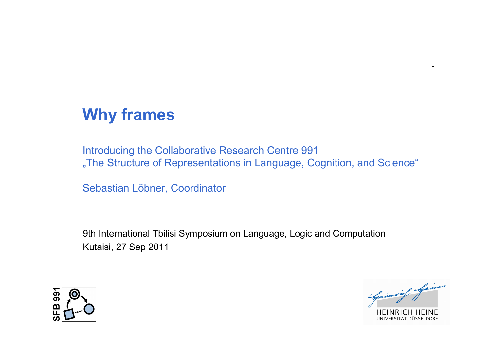# **Why frames**

Introducing the Collaborative Research Centre 991 "The Structure of Representations in Language, Cognition, and Science"

Sebastian Löbner, Coordinator

9th International Tbilisi Symposium on Language, Logic and Computation Kutaisi, 27 Sep 2011



Chainvil hain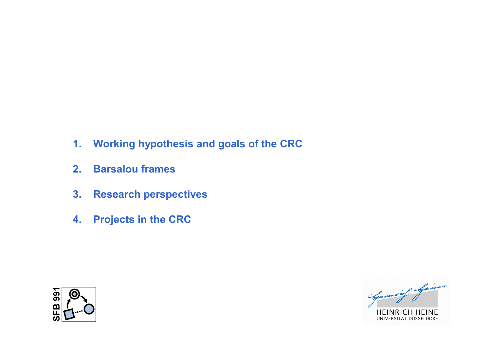- **1. Working hypothesis and goals of the CRC**
- **2. Barsalou frames**
- **3. Research perspectives**
- **4. Projects in the CRC**



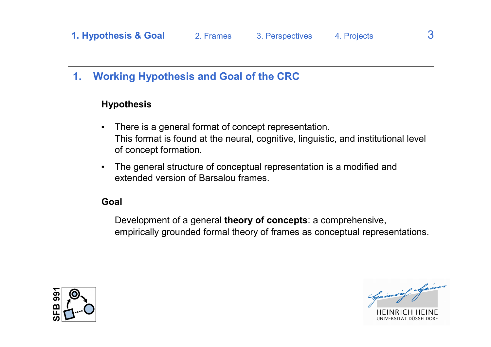## **1. Working Hypothesis and Goal of the CRC**

#### **Hypothesis**

- There is a general format of concept representation. This format is found at the neural, cognitive, linguistic, and institutional level of concept formation.
- The general structure of conceptual representation is a modified and extended version of Barsalou frames.

#### **Goal**

Development of a general **theory of concepts**: a comprehensive, empirically grounded formal theory of frames as conceptual representations.



Opinion of Spines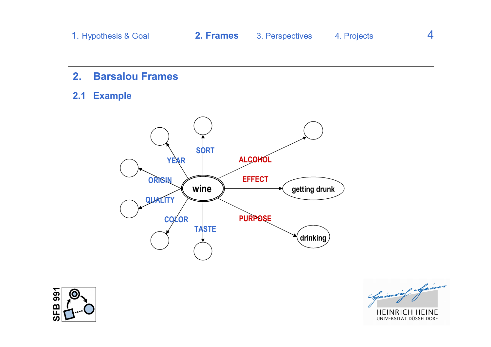- **2. Barsalou Frames**
- **2.1 Example**





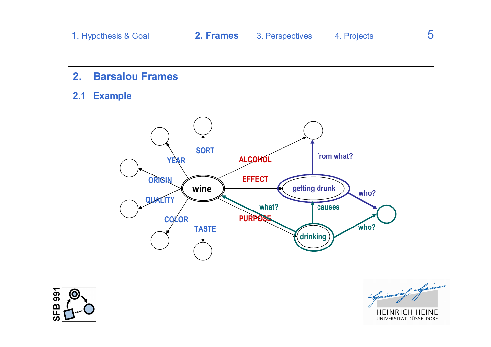- **2. Barsalou Frames**
- **2.1 Example**





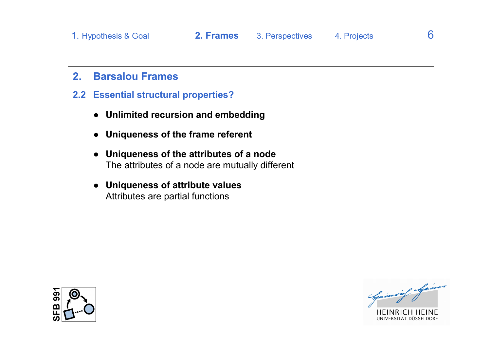## **2. Barsalou Frames**

- **2.2 Essential structural properties?**
	- **● Unlimited recursion and embedding**
	- **● Uniqueness of the frame referent**
	- **● Uniqueness of the attributes of a node** The attributes of a node are mutually different
	- **● Uniqueness of attribute values** Attributes are partial functions



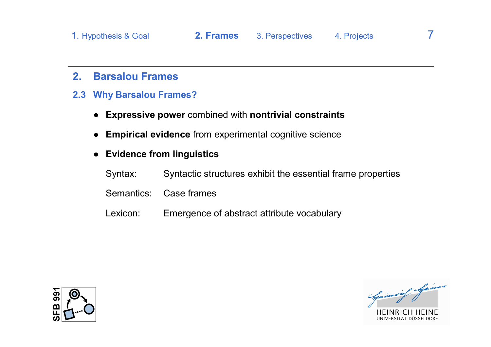#### **2. Barsalou Frames**

- **2.3 Why Barsalou Frames?**
	- **● Expressive power** combined with **nontrivial constraints**
	- **● Empirical evidence** from experimental cognitive science

#### **● Evidence from linguistics**

- Syntax: Syntactic structures exhibit the essential frame properties
- Semantics: Case frames
- Lexicon: Emergence of abstract attribute vocabulary





VERSITÄT DÜSSELDORE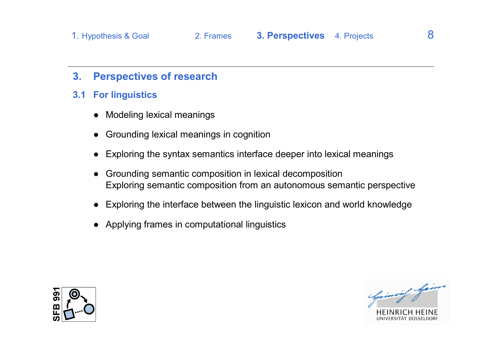### **3. Perspectives of research**

- **3.1 For linguistics**
	- Modeling lexical meanings
	- Grounding lexical meanings in cognition
	- Exploring the syntax semantics interface deeper into lexical meanings
	- Grounding semantic composition in lexical decomposition Exploring semantic composition from an autonomous semantic perspective
	- Exploring the interface between the linguistic lexicon and world knowledge
	- Applying frames in computational linguistics





/FRSITÄT DIJSSEI DORI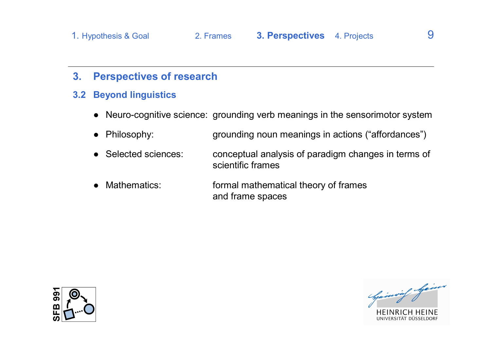### **3. Perspectives of research**

#### **3.2 Beyond linguistics**

- Neuro-cognitive science: grounding verb meanings in the sensorimotor system
- Philosophy: grounding noun meanings in actions ("affordances")
- Selected sciences: conceptual analysis of paradigm changes in terms of scientific frames
- Mathematics: formal mathematical theory of frames and frame spaces





**VERSITAT DÜSSELDORF**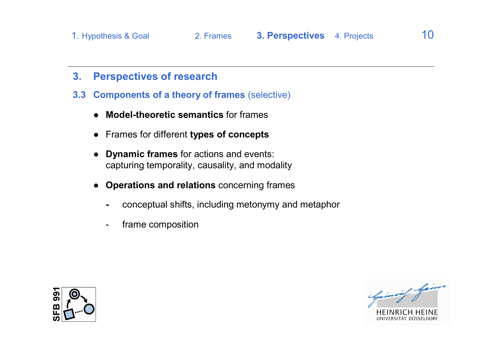- **3. Perspectives of research**
- **3.3 Components of a theory of frames** (selective)
	- **Model-theoretic semantics** for frames
	- Frames for different **types of concepts**
	- **Dynamic frames** for actions and events: capturing temporality, causality, and modality
	- **Operations and relations** concerning frames
		- **-** conceptual shifts, including metonymy and metaphor
		- frame composition





**IVERSITAT DUSSELDORF**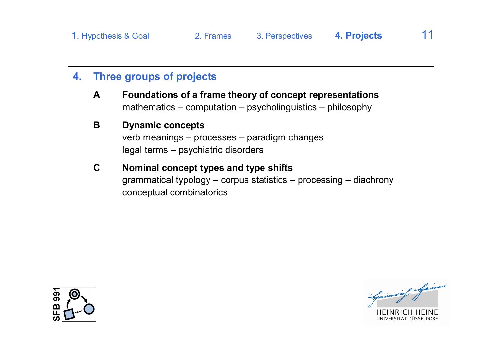## **4. Three groups of projects**

**A Foundations of a frame theory of concept representations** mathematics – computation – psycholinguistics – philosophy

## **B Dynamic concepts**

verb meanings – processes – paradigm changes legal terms – psychiatric disorders

**C Nominal concept types and type shifts** grammatical typology – corpus statistics – processing – diachrony conceptual combinatorics





VERSITÄT DÜSSELDORI